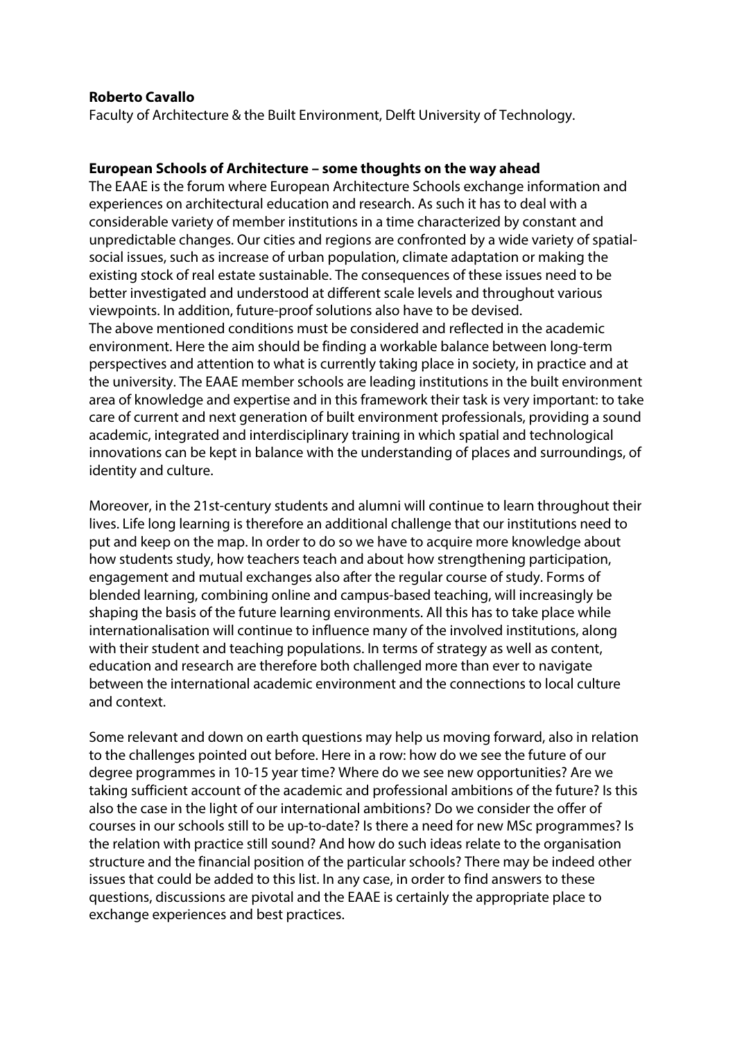## **Roberto Cavallo**

Faculty of Architecture & the Built Environment, Delft University of Technology.

## **European Schools of Architecture – some thoughts on the way ahead**

The EAAE is the forum where European Architecture Schools exchange information and experiences on architectural education and research. As such it has to deal with a considerable variety of member institutions in a time characterized by constant and unpredictable changes. Our cities and regions are confronted by a wide variety of spatialsocial issues, such as increase of urban population, climate adaptation or making the existing stock of real estate sustainable. The consequences of these issues need to be better investigated and understood at different scale levels and throughout various viewpoints. In addition, future-proof solutions also have to be devised. The above mentioned conditions must be considered and reflected in the academic environment. Here the aim should be finding a workable balance between long-term perspectives and attention to what is currently taking place in society, in practice and at the university. The EAAE member schools are leading institutions in the built environment area of knowledge and expertise and in this framework their task is very important: to take care of current and next generation of built environment professionals, providing a sound academic, integrated and interdisciplinary training in which spatial and technological innovations can be kept in balance with the understanding of places and surroundings, of identity and culture.

Moreover, in the 21st-century students and alumni will continue to learn throughout their lives. Life long learning is therefore an additional challenge that our institutions need to put and keep on the map. In order to do so we have to acquire more knowledge about how students study, how teachers teach and about how strengthening participation, engagement and mutual exchanges also after the regular course of study. Forms of blended learning, combining online and campus-based teaching, will increasingly be shaping the basis of the future learning environments. All this has to take place while internationalisation will continue to influence many of the involved institutions, along with their student and teaching populations. In terms of strategy as well as content, education and research are therefore both challenged more than ever to navigate between the international academic environment and the connections to local culture and context.

Some relevant and down on earth questions may help us moving forward, also in relation to the challenges pointed out before. Here in a row: how do we see the future of our degree programmes in 10-15 year time? Where do we see new opportunities? Are we taking sufficient account of the academic and professional ambitions of the future? Is this also the case in the light of our international ambitions? Do we consider the offer of courses in our schools still to be up-to-date? Is there a need for new MSc programmes? Is the relation with practice still sound? And how do such ideas relate to the organisation structure and the financial position of the particular schools? There may be indeed other issues that could be added to this list. In any case, in order to find answers to these questions, discussions are pivotal and the EAAE is certainly the appropriate place to exchange experiences and best practices.